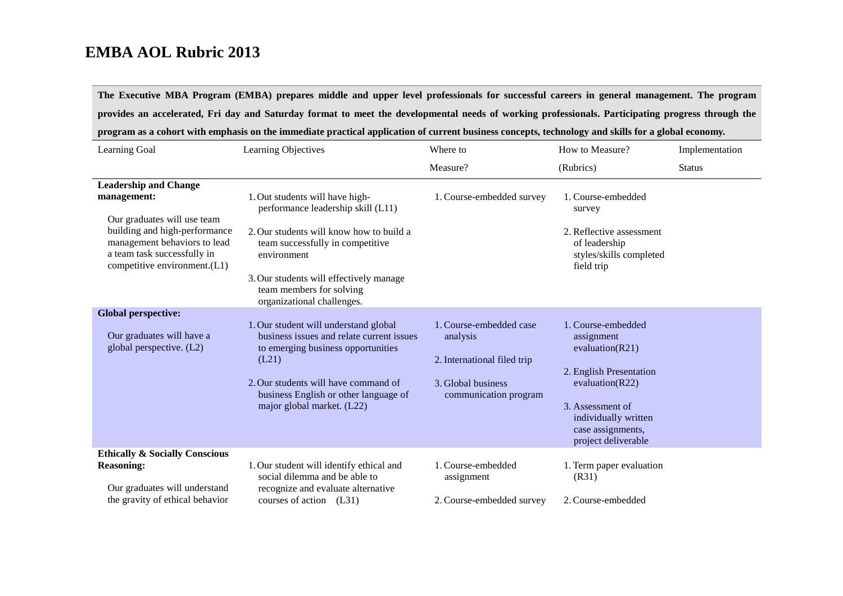**The Executive MBA Program (EMBA) prepares middle and upper level professionals for successful careers in general management. The program provides an accelerated, Fri day and Saturday format to meet the developmental needs of working professionals. Participating progress through the program as a cohort with emphasis on the immediate practical application of current business concepts, technology and skills for a global economy.**

| Learning Goal                                                                                                                                                                                              | Learning Objectives                                                                                                                                                                                                                                                       | Where to                                                                                                          | How to Measure?                                                                                                                                                                                   | Implementation |
|------------------------------------------------------------------------------------------------------------------------------------------------------------------------------------------------------------|---------------------------------------------------------------------------------------------------------------------------------------------------------------------------------------------------------------------------------------------------------------------------|-------------------------------------------------------------------------------------------------------------------|---------------------------------------------------------------------------------------------------------------------------------------------------------------------------------------------------|----------------|
|                                                                                                                                                                                                            |                                                                                                                                                                                                                                                                           | Measure?                                                                                                          | (Rubrics)                                                                                                                                                                                         | <b>Status</b>  |
| <b>Leadership and Change</b><br>management:<br>Our graduates will use team<br>building and high-performance<br>management behaviors to lead<br>a team task successfully in<br>competitive environment.(L1) | 1. Out students will have high-<br>performance leadership skill (L11)<br>2. Our students will know how to build a<br>team successfully in competitive<br>environment<br>3. Our students will effectively manage<br>team members for solving<br>organizational challenges. | 1. Course-embedded survey                                                                                         | 1. Course-embedded<br>survey<br>2. Reflective assessment<br>of leadership<br>styles/skills completed<br>field trip                                                                                |                |
| <b>Global perspective:</b><br>Our graduates will have a<br>global perspective. (L2)                                                                                                                        | 1. Our student will understand global<br>business issues and relate current issues<br>to emerging business opportunities<br>(L21)<br>2. Our students will have command of<br>business English or other language of<br>major global market. (L22)                          | 1. Course-embedded case<br>analysis<br>2. International filed trip<br>3. Global business<br>communication program | 1. Course-embedded<br>assignment<br>evaluation( $R21$ )<br>2. English Presentation<br>evaluation( $R22$ )<br>3. Assessment of<br>individually written<br>case assignments,<br>project deliverable |                |
| <b>Ethically &amp; Socially Conscious</b><br><b>Reasoning:</b><br>Our graduates will understand<br>the gravity of ethical behavior                                                                         | 1. Our student will identify ethical and<br>social dilemma and be able to<br>recognize and evaluate alternative<br>courses of action $(L31)$                                                                                                                              | 1. Course-embedded<br>assignment<br>2. Course-embedded survey                                                     | 1. Term paper evaluation<br>(R31)<br>2. Course-embedded                                                                                                                                           |                |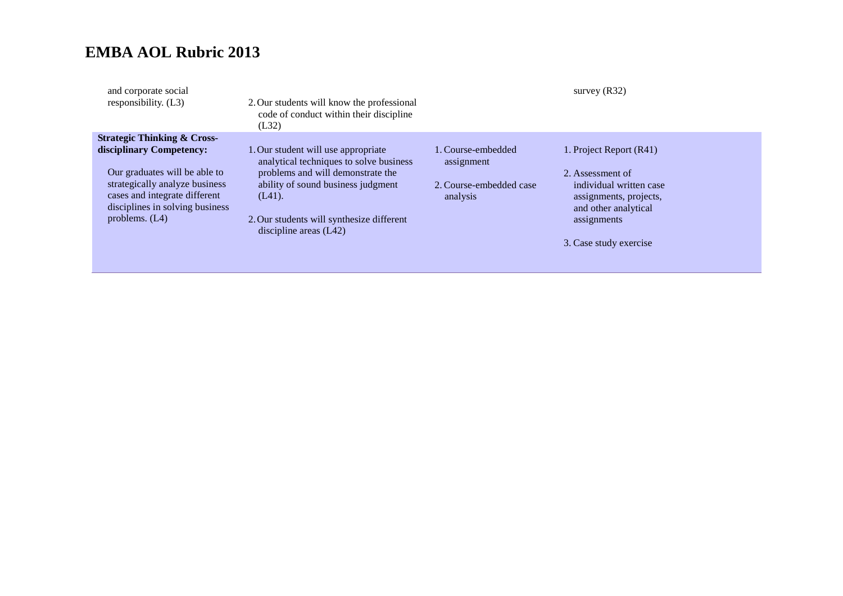| and corporate social<br>responsibility. (L3)                                                       | 2. Our students will know the professional<br>code of conduct within their discipline<br>(L32) |                                     | survey $(R32)$                                                            |
|----------------------------------------------------------------------------------------------------|------------------------------------------------------------------------------------------------|-------------------------------------|---------------------------------------------------------------------------|
| <b>Strategic Thinking &amp; Cross-</b>                                                             |                                                                                                |                                     |                                                                           |
| disciplinary Competency:                                                                           | 1. Our student will use appropriate<br>analytical techniques to solve business                 | 1. Course-embedded<br>assignment    | 1. Project Report (R41)                                                   |
| Our graduates will be able to                                                                      | problems and will demonstrate the                                                              |                                     | 2. Assessment of                                                          |
| strategically analyze business<br>cases and integrate different<br>disciplines in solving business | ability of sound business judgment<br>$(L41)$ .                                                | 2. Course-embedded case<br>analysis | individual written case<br>assignments, projects,<br>and other analytical |
| problems. $(L4)$                                                                                   | 2. Our students will synthesize different<br>discipline areas $(L42)$                          |                                     | assignments                                                               |
|                                                                                                    |                                                                                                |                                     | 3. Case study exercise                                                    |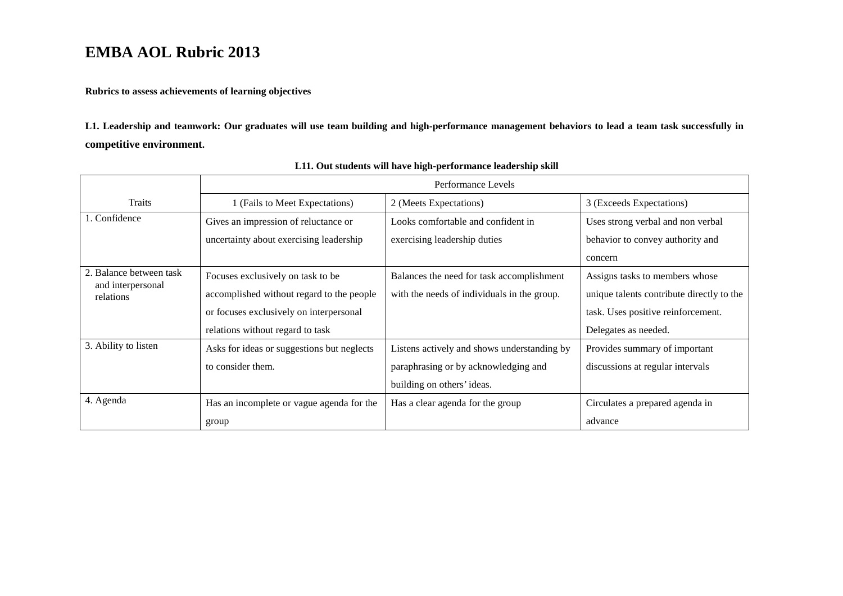**Rubrics to assess achievements of learning objectives**

**L1. Leadership and teamwork: Our graduates will use team building and high-performance management behaviors to lead a team task successfully in competitive environment.**

|                                | Performance Levels                         |                                             |                                           |
|--------------------------------|--------------------------------------------|---------------------------------------------|-------------------------------------------|
| <b>Traits</b>                  | (Fails to Meet Expectations)               | 2 (Meets Expectations)                      | 3 (Exceeds Expectations)                  |
| 1. Confidence                  | Gives an impression of reluctance or       | Looks comfortable and confident in          | Uses strong verbal and non verbal         |
|                                | uncertainty about exercising leadership    | exercising leadership duties                | behavior to convey authority and          |
|                                |                                            |                                             | concern                                   |
| 2. Balance between task        | Focuses exclusively on task to be          | Balances the need for task accomplishment   | Assigns tasks to members whose            |
| and interpersonal<br>relations | accomplished without regard to the people  | with the needs of individuals in the group. | unique talents contribute directly to the |
|                                | or focuses exclusively on interpersonal    |                                             | task. Uses positive reinforcement.        |
|                                | relations without regard to task           |                                             | Delegates as needed.                      |
| 3. Ability to listen           | Asks for ideas or suggestions but neglects | Listens actively and shows understanding by | Provides summary of important             |
|                                | to consider them.                          | paraphrasing or by acknowledging and        | discussions at regular intervals          |
|                                |                                            | building on others' ideas.                  |                                           |
| 4. Agenda                      | Has an incomplete or vague agenda for the  | Has a clear agenda for the group            | Circulates a prepared agenda in           |
|                                | group                                      |                                             | advance                                   |

**L11. Out students will have high-performance leadership skill**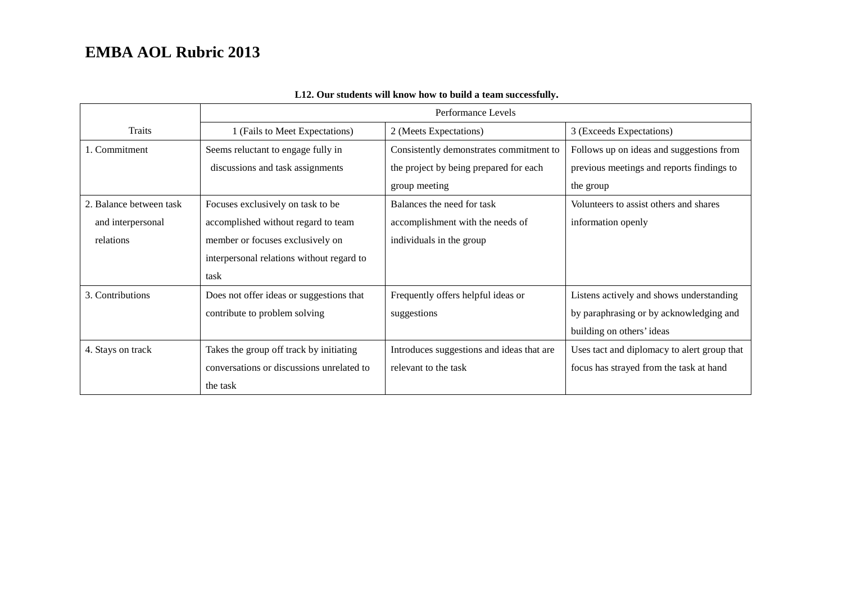|                         | Performance Levels                        |                                           |                                             |
|-------------------------|-------------------------------------------|-------------------------------------------|---------------------------------------------|
| Traits                  | 1 (Fails to Meet Expectations)            | 2 (Meets Expectations)                    | 3 (Exceeds Expectations)                    |
| 1. Commitment           | Seems reluctant to engage fully in        | Consistently demonstrates commitment to   | Follows up on ideas and suggestions from    |
|                         | discussions and task assignments          | the project by being prepared for each    | previous meetings and reports findings to   |
|                         |                                           | group meeting                             | the group                                   |
| 2. Balance between task | Focuses exclusively on task to be         | Balances the need for task                | Volunteers to assist others and shares      |
| and interpersonal       | accomplished without regard to team       | accomplishment with the needs of          | information openly                          |
| relations               | member or focuses exclusively on          | individuals in the group                  |                                             |
|                         | interpersonal relations without regard to |                                           |                                             |
|                         | task                                      |                                           |                                             |
| 3. Contributions        | Does not offer ideas or suggestions that  | Frequently offers helpful ideas or        | Listens actively and shows understanding    |
|                         | contribute to problem solving             | suggestions                               | by paraphrasing or by acknowledging and     |
|                         |                                           |                                           | building on others' ideas                   |
| 4. Stays on track       | Takes the group off track by initiating   | Introduces suggestions and ideas that are | Uses tact and diplomacy to alert group that |
|                         | conversations or discussions unrelated to | relevant to the task                      | focus has strayed from the task at hand     |
|                         | the task                                  |                                           |                                             |

### **L12. Our students will know how to build a team successfully.**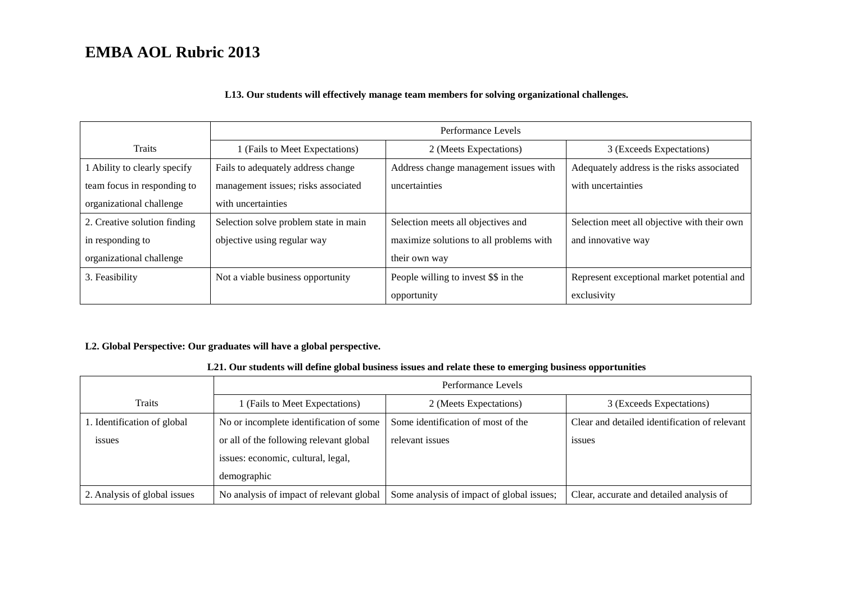#### **L13. Our students will effectively manage team members for solving organizational challenges.**

|                              | Performance Levels                    |                                         |                                             |
|------------------------------|---------------------------------------|-----------------------------------------|---------------------------------------------|
| Traits                       | 1 (Fails to Meet Expectations)        | 2 (Meets Expectations)                  | 3 (Exceeds Expectations)                    |
| I Ability to clearly specify | Fails to adequately address change    | Address change management issues with   | Adequately address is the risks associated  |
| team focus in responding to  | management issues; risks associated   | uncertainties                           | with uncertainties                          |
| organizational challenge     | with uncertainties                    |                                         |                                             |
| 2. Creative solution finding | Selection solve problem state in main | Selection meets all objectives and      | Selection meet all objective with their own |
| in responding to             | objective using regular way           | maximize solutions to all problems with | and innovative way                          |
| organizational challenge     |                                       | their own way                           |                                             |
| 3. Feasibility               | Not a viable business opportunity     | People willing to invest \$\$ in the    | Represent exceptional market potential and  |
|                              |                                       | opportunity                             | exclusivity                                 |

#### **L2. Global Perspective: Our graduates will have a global perspective.**

#### **L21. Our students will define global business issues and relate these to emerging business opportunities**

|                              | Performance Levels                       |                                           |                                               |
|------------------------------|------------------------------------------|-------------------------------------------|-----------------------------------------------|
| <b>Traits</b>                | 1 (Fails to Meet Expectations)           | 2 (Meets Expectations)                    | 3 (Exceeds Expectations)                      |
| 1. Identification of global  | No or incomplete identification of some  | Some identification of most of the        | Clear and detailed identification of relevant |
| issues                       | or all of the following relevant global  | relevant issues                           | <i>issues</i>                                 |
|                              | issues: economic, cultural, legal,       |                                           |                                               |
|                              | demographic                              |                                           |                                               |
| 2. Analysis of global issues | No analysis of impact of relevant global | Some analysis of impact of global issues; | Clear, accurate and detailed analysis of      |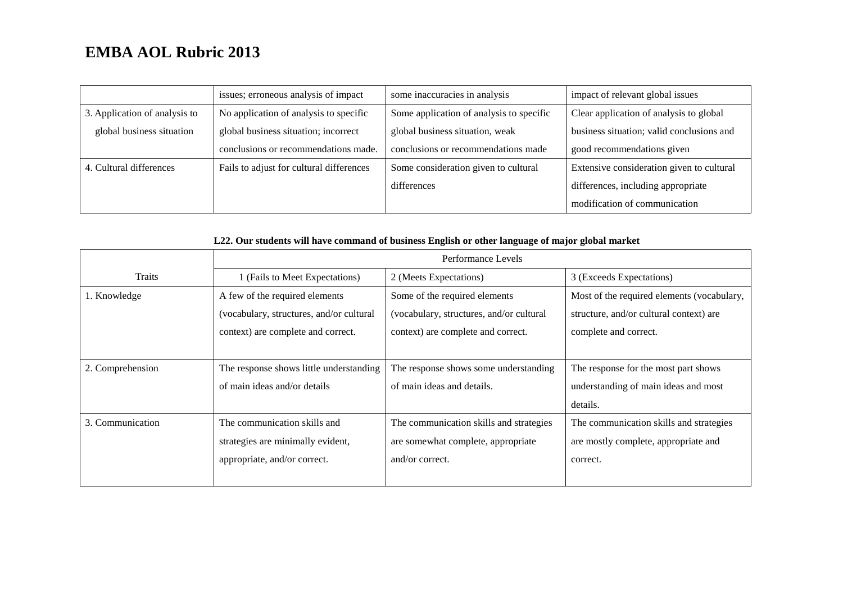|                               | issues; erroneous analysis of impact     | some inaccuracies in analysis            | impact of relevant global issues          |
|-------------------------------|------------------------------------------|------------------------------------------|-------------------------------------------|
| 3. Application of analysis to | No application of analysis to specific   | Some application of analysis to specific | Clear application of analysis to global   |
| global business situation     | global business situation; incorrect     | global business situation, weak          | business situation; valid conclusions and |
|                               | conclusions or recommendations made.     | conclusions or recommendations made      | good recommendations given                |
| 4. Cultural differences       | Fails to adjust for cultural differences | Some consideration given to cultural     | Extensive consideration given to cultural |
|                               |                                          | differences                              | differences, including appropriate        |
|                               |                                          |                                          | modification of communication             |

| L22. Our students will have command of business English or other language of major global market |  |
|--------------------------------------------------------------------------------------------------|--|
|--------------------------------------------------------------------------------------------------|--|

|                  | Performance Levels                       |                                          |                                            |
|------------------|------------------------------------------|------------------------------------------|--------------------------------------------|
| <b>Traits</b>    | 1 (Fails to Meet Expectations)           | 2 (Meets Expectations)                   | 3 (Exceeds Expectations)                   |
| 1. Knowledge     | A few of the required elements           | Some of the required elements            | Most of the required elements (vocabulary, |
|                  | (vocabulary, structures, and/or cultural | (vocabulary, structures, and/or cultural | structure, and/or cultural context) are    |
|                  | context) are complete and correct.       | context) are complete and correct.       | complete and correct.                      |
|                  |                                          |                                          |                                            |
| 2. Comprehension | The response shows little understanding  | The response shows some understanding    | The response for the most part shows       |
|                  | of main ideas and/or details             | of main ideas and details.               | understanding of main ideas and most       |
|                  |                                          |                                          | details.                                   |
| 3. Communication | The communication skills and             | The communication skills and strategies  | The communication skills and strategies    |
|                  | strategies are minimally evident,        | are somewhat complete, appropriate       | are mostly complete, appropriate and       |
|                  | appropriate, and/or correct.             | and/or correct.                          | correct.                                   |
|                  |                                          |                                          |                                            |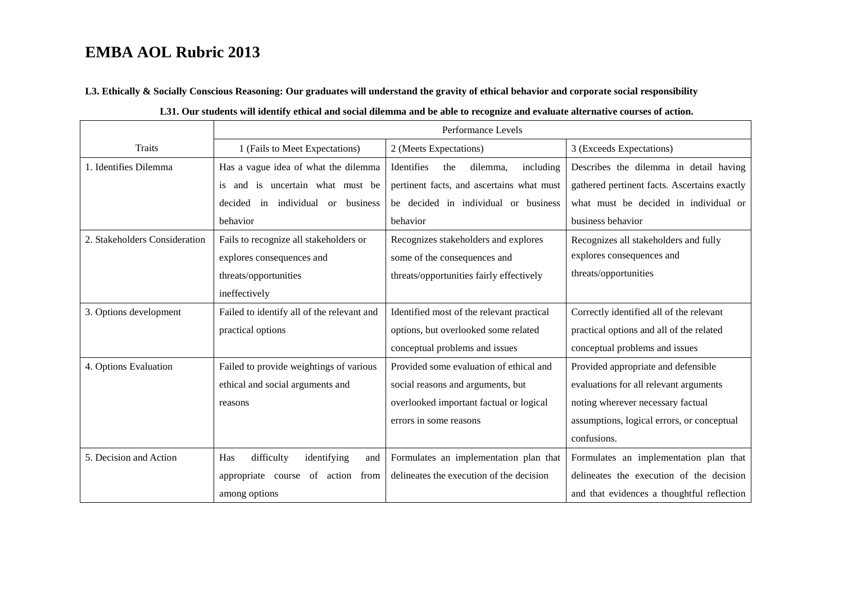**L3. Ethically & Socially Conscious Reasoning: Our graduates will understand the gravity of ethical behavior and corporate social responsibility**

|                               | Performance Levels                         |                                            |                                              |
|-------------------------------|--------------------------------------------|--------------------------------------------|----------------------------------------------|
| <b>Traits</b>                 | 1 (Fails to Meet Expectations)             | 2 (Meets Expectations)                     | 3 (Exceeds Expectations)                     |
| 1. Identifies Dilemma         | Has a vague idea of what the dilemma       | Identifies<br>the<br>dilemma,<br>including | Describes the dilemma in detail having       |
|                               | is and is uncertain what must be           | pertinent facts, and ascertains what must  | gathered pertinent facts. Ascertains exactly |
|                               | decided in individual or business          | be decided in individual or business       | what must be decided in individual or        |
|                               | behavior                                   | behavior                                   | business behavior                            |
| 2. Stakeholders Consideration | Fails to recognize all stakeholders or     | Recognizes stakeholders and explores       | Recognizes all stakeholders and fully        |
|                               | explores consequences and                  | some of the consequences and               | explores consequences and                    |
|                               | threats/opportunities                      | threats/opportunities fairly effectively   | threats/opportunities                        |
|                               | ineffectively                              |                                            |                                              |
| 3. Options development        | Failed to identify all of the relevant and | Identified most of the relevant practical  | Correctly identified all of the relevant     |
|                               | practical options                          | options, but overlooked some related       | practical options and all of the related     |
|                               |                                            | conceptual problems and issues             | conceptual problems and issues               |
| 4. Options Evaluation         | Failed to provide weightings of various    | Provided some evaluation of ethical and    | Provided appropriate and defensible          |
|                               | ethical and social arguments and           | social reasons and arguments, but          | evaluations for all relevant arguments       |
|                               | reasons                                    | overlooked important factual or logical    | noting wherever necessary factual            |
|                               |                                            | errors in some reasons                     | assumptions, logical errors, or conceptual   |
|                               |                                            |                                            | confusions.                                  |
| 5. Decision and Action        | Has<br>difficulty<br>identifying<br>and    | Formulates an implementation plan that     | Formulates an implementation plan that       |
|                               | appropriate course of action<br>from       | delineates the execution of the decision   | delineates the execution of the decision     |
|                               | among options                              |                                            | and that evidences a thoughtful reflection   |

#### **L31. Our students will identify ethical and social dilemma and be able to recognize and evaluate alternative courses of action.**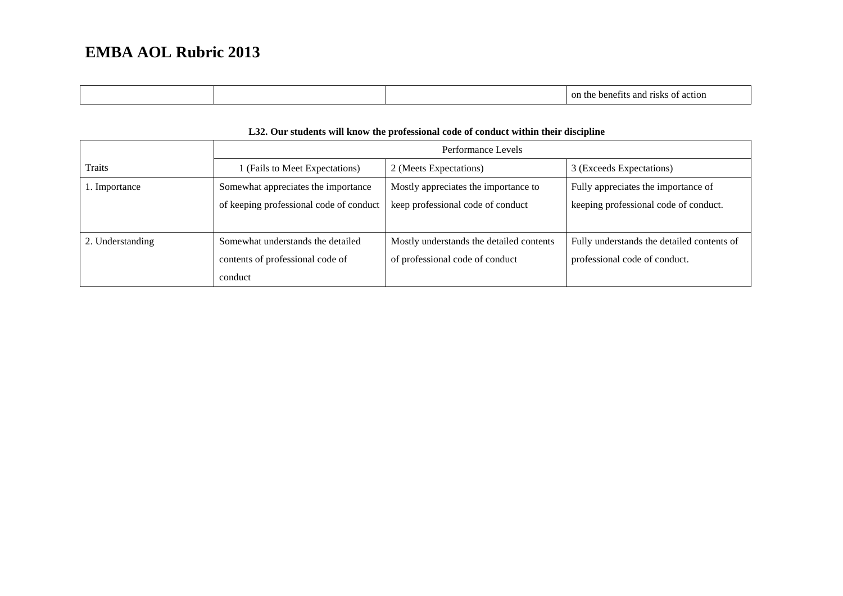| on.<br>. .<br>1 г<br>. .<br><br>,,,,<br>,,, |  |  |
|---------------------------------------------|--|--|
|                                             |  |  |

#### **L32. Our students will know the professional code of conduct within their discipline**

|                  | Performance Levels                      |                                          |                                            |
|------------------|-----------------------------------------|------------------------------------------|--------------------------------------------|
| Traits           | 1 (Fails to Meet Expectations)          | 2 (Meets Expectations)                   | 3 (Exceeds Expectations)                   |
| 1. Importance    | Somewhat appreciates the importance     | Mostly appreciates the importance to     | Fully appreciates the importance of        |
|                  | of keeping professional code of conduct | keep professional code of conduct        | keeping professional code of conduct.      |
|                  |                                         |                                          |                                            |
| 2. Understanding | Somewhat understands the detailed       | Mostly understands the detailed contents | Fully understands the detailed contents of |
|                  | contents of professional code of        | of professional code of conduct          | professional code of conduct.              |
|                  | conduct                                 |                                          |                                            |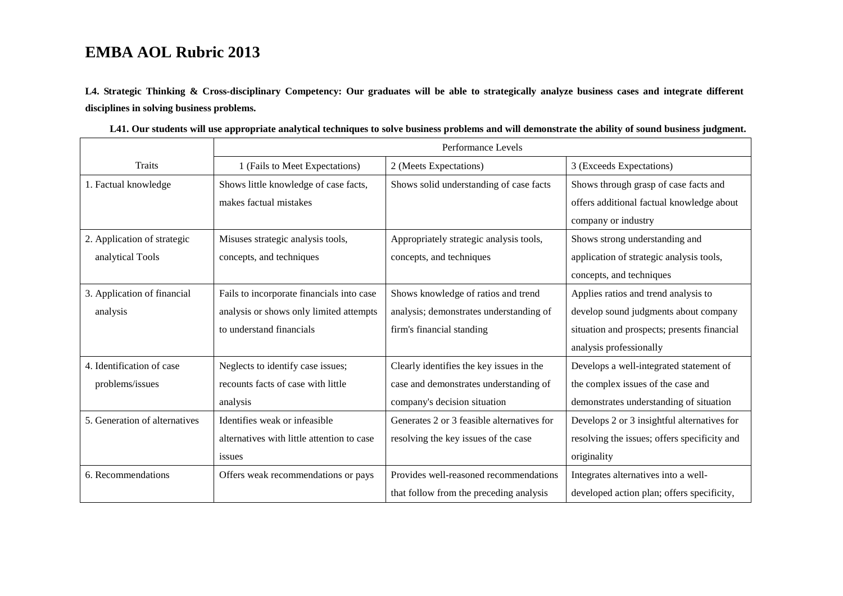**L4. Strategic Thinking & Cross-disciplinary Competency: Our graduates will be able to strategically analyze business cases and integrate different disciplines in solving business problems.** 

|                               | Performance Levels                         |                                            |                                              |
|-------------------------------|--------------------------------------------|--------------------------------------------|----------------------------------------------|
| <b>Traits</b>                 | 1 (Fails to Meet Expectations)             | 2 (Meets Expectations)                     | 3 (Exceeds Expectations)                     |
| 1. Factual knowledge          | Shows little knowledge of case facts,      | Shows solid understanding of case facts    | Shows through grasp of case facts and        |
|                               | makes factual mistakes                     |                                            | offers additional factual knowledge about    |
|                               |                                            |                                            | company or industry                          |
| 2. Application of strategic   | Misuses strategic analysis tools,          | Appropriately strategic analysis tools,    | Shows strong understanding and               |
| analytical Tools              | concepts, and techniques                   | concepts, and techniques                   | application of strategic analysis tools,     |
|                               |                                            |                                            | concepts, and techniques                     |
| 3. Application of financial   | Fails to incorporate financials into case  | Shows knowledge of ratios and trend        | Applies ratios and trend analysis to         |
| analysis                      | analysis or shows only limited attempts    | analysis; demonstrates understanding of    | develop sound judgments about company        |
|                               | to understand financials                   | firm's financial standing                  | situation and prospects; presents financial  |
|                               |                                            |                                            | analysis professionally                      |
| 4. Identification of case     | Neglects to identify case issues;          | Clearly identifies the key issues in the   | Develops a well-integrated statement of      |
| problems/issues               | recounts facts of case with little         | case and demonstrates understanding of     | the complex issues of the case and           |
|                               | analysis                                   | company's decision situation               | demonstrates understanding of situation      |
| 5. Generation of alternatives | Identifies weak or infeasible              | Generates 2 or 3 feasible alternatives for | Develops 2 or 3 insightful alternatives for  |
|                               | alternatives with little attention to case | resolving the key issues of the case       | resolving the issues; offers specificity and |
|                               | issues                                     |                                            | originality                                  |
| 6. Recommendations            | Offers weak recommendations or pays        | Provides well-reasoned recommendations     | Integrates alternatives into a well-         |
|                               |                                            | that follow from the preceding analysis    | developed action plan; offers specificity,   |

**L41. Our students will use appropriate analytical techniques to solve business problems and will demonstrate the ability of sound business judgment.**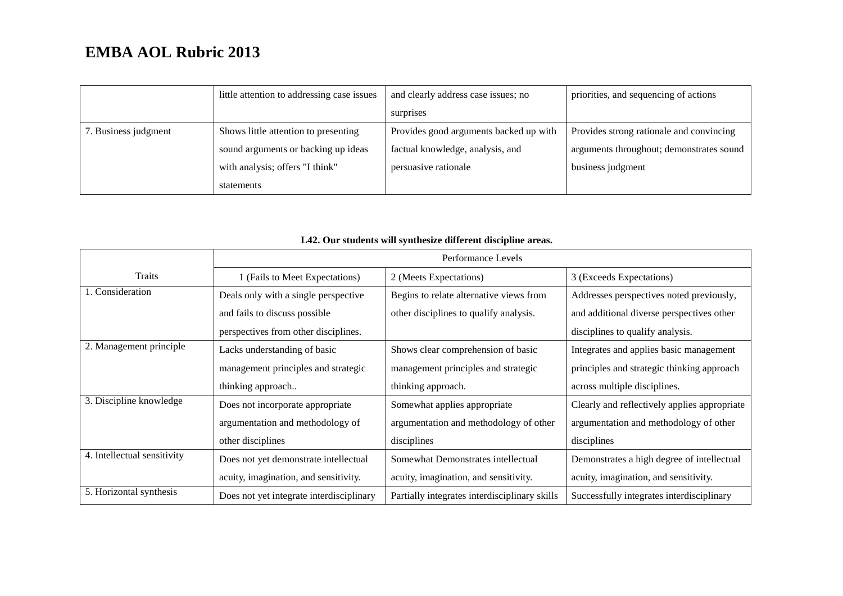|                      | little attention to addressing case issues | and clearly address case issues; no    | priorities, and sequencing of actions    |
|----------------------|--------------------------------------------|----------------------------------------|------------------------------------------|
|                      |                                            | surprises                              |                                          |
| 7. Business judgment | Shows little attention to presenting       | Provides good arguments backed up with | Provides strong rationale and convincing |
|                      | sound arguments or backing up ideas        | factual knowledge, analysis, and       | arguments throughout; demonstrates sound |
|                      | with analysis; offers "I think"            | persuasive rationale                   | business judgment                        |
|                      | statements                                 |                                        |                                          |

|                             | Performance Levels                       |                                               |                                              |
|-----------------------------|------------------------------------------|-----------------------------------------------|----------------------------------------------|
| Traits                      | 1 (Fails to Meet Expectations)           | 2 (Meets Expectations)                        | 3 (Exceeds Expectations)                     |
| 1. Consideration            | Deals only with a single perspective     | Begins to relate alternative views from       | Addresses perspectives noted previously,     |
|                             | and fails to discuss possible            | other disciplines to qualify analysis.        | and additional diverse perspectives other    |
|                             | perspectives from other disciplines.     |                                               | disciplines to qualify analysis.             |
| 2. Management principle     | Lacks understanding of basic             | Shows clear comprehension of basic            | Integrates and applies basic management      |
|                             | management principles and strategic      | management principles and strategic           | principles and strategic thinking approach   |
|                             | thinking approach                        | thinking approach.                            | across multiple disciplines.                 |
| 3. Discipline knowledge     | Does not incorporate appropriate         | Somewhat applies appropriate                  | Clearly and reflectively applies appropriate |
|                             | argumentation and methodology of         | argumentation and methodology of other        | argumentation and methodology of other       |
|                             | other disciplines                        | disciplines                                   | disciplines                                  |
| 4. Intellectual sensitivity | Does not yet demonstrate intellectual    | Somewhat Demonstrates intellectual            | Demonstrates a high degree of intellectual   |
|                             | acuity, imagination, and sensitivity.    | acuity, imagination, and sensitivity.         | acuity, imagination, and sensitivity.        |
| 5. Horizontal synthesis     | Does not yet integrate interdisciplinary | Partially integrates interdisciplinary skills | Successfully integrates interdisciplinary    |

### **L42. Our students will synthesize different discipline areas.**